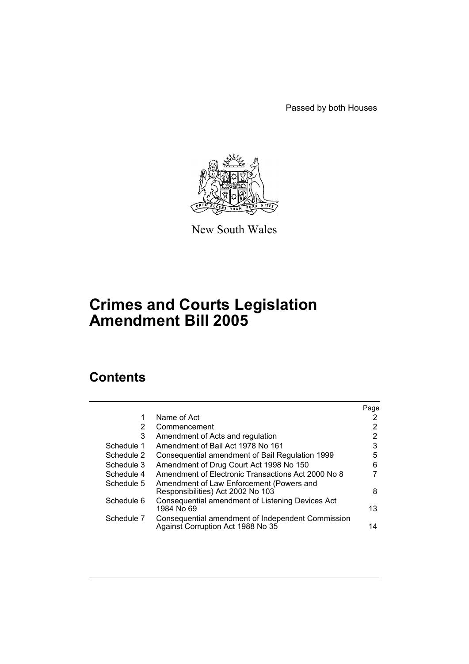Passed by both Houses



New South Wales

# **Crimes and Courts Legislation Amendment Bill 2005**

# **Contents**

|                                                                                        | Page |
|----------------------------------------------------------------------------------------|------|
| Name of Act                                                                            | 2    |
| Commencement                                                                           | 2    |
| Amendment of Acts and regulation                                                       | 2    |
| Amendment of Bail Act 1978 No 161                                                      | 3    |
| Consequential amendment of Bail Regulation 1999                                        | 5    |
| Amendment of Drug Court Act 1998 No 150                                                | 6    |
| Amendment of Electronic Transactions Act 2000 No 8                                     |      |
| Amendment of Law Enforcement (Powers and<br>Responsibilities) Act 2002 No 103          | 8    |
| Consequential amendment of Listening Devices Act<br>1984 No 69                         | 13   |
| Consequential amendment of Independent Commission<br>Against Corruption Act 1988 No 35 | 14   |
|                                                                                        |      |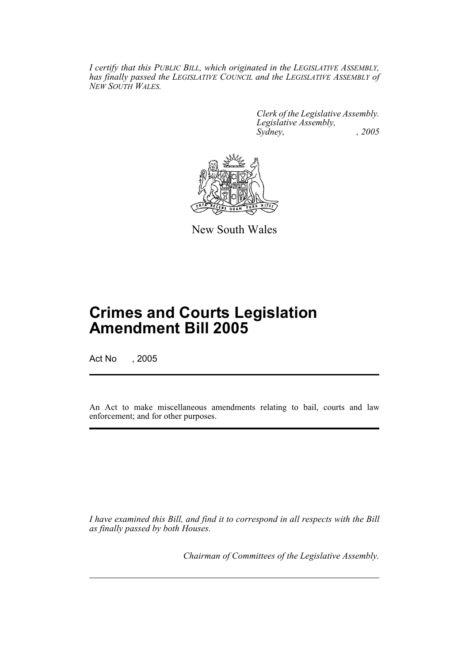*I certify that this PUBLIC BILL, which originated in the LEGISLATIVE ASSEMBLY, has finally passed the LEGISLATIVE COUNCIL and the LEGISLATIVE ASSEMBLY of NEW SOUTH WALES.*

> *Clerk of the Legislative Assembly. Legislative Assembly, Sydney, , 2005*



New South Wales

# **Crimes and Courts Legislation Amendment Bill 2005**

Act No , 2005

An Act to make miscellaneous amendments relating to bail, courts and law enforcement; and for other purposes.

*I have examined this Bill, and find it to correspond in all respects with the Bill as finally passed by both Houses.*

*Chairman of Committees of the Legislative Assembly.*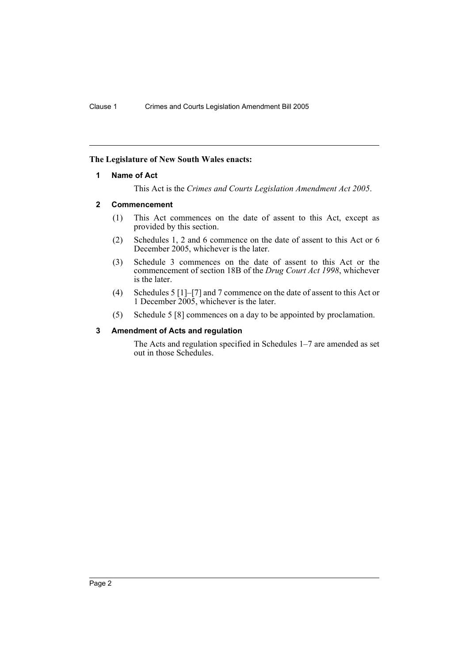## **The Legislature of New South Wales enacts:**

#### **1 Name of Act**

This Act is the *Crimes and Courts Legislation Amendment Act 2005*.

#### **2 Commencement**

- (1) This Act commences on the date of assent to this Act, except as provided by this section.
- (2) Schedules 1, 2 and 6 commence on the date of assent to this Act or 6 December 2005, whichever is the later.
- (3) Schedule 3 commences on the date of assent to this Act or the commencement of section 18B of the *Drug Court Act 1998*, whichever is the later.
- (4) Schedules 5 [1]–[7] and 7 commence on the date of assent to this Act or 1 December 2005, whichever is the later.
- (5) Schedule 5 [8] commences on a day to be appointed by proclamation.

#### **3 Amendment of Acts and regulation**

The Acts and regulation specified in Schedules 1–7 are amended as set out in those Schedules.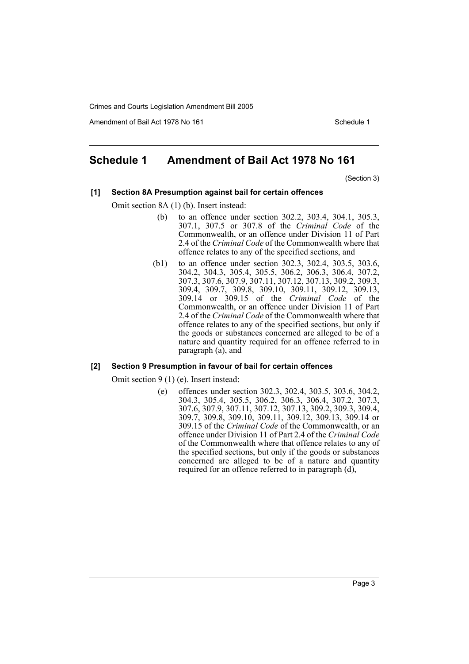Amendment of Bail Act 1978 No 161 Schedule 1

# **Schedule 1 Amendment of Bail Act 1978 No 161**

(Section 3)

#### **[1] Section 8A Presumption against bail for certain offences**

Omit section 8A (1) (b). Insert instead:

- (b) to an offence under section 302.2, 303.4, 304.1, 305.3, 307.1, 307.5 or 307.8 of the *Criminal Code* of the Commonwealth, or an offence under Division 11 of Part 2.4 of the *Criminal Code* of the Commonwealth where that offence relates to any of the specified sections, and
- (b1) to an offence under section 302.3, 302.4, 303.5, 303.6, 304.2, 304.3, 305.4, 305.5, 306.2, 306.3, 306.4, 307.2, 307.3, 307.6, 307.9, 307.11, 307.12, 307.13, 309.2, 309.3, 309.4, 309.7, 309.8, 309.10, 309.11, 309.12, 309.13, 309.14 or 309.15 of the *Criminal Code* of the Commonwealth, or an offence under Division 11 of Part 2.4 of the *Criminal Code* of the Commonwealth where that offence relates to any of the specified sections, but only if the goods or substances concerned are alleged to be of a nature and quantity required for an offence referred to in paragraph  $(\vec{a})$ , and

## **[2] Section 9 Presumption in favour of bail for certain offences**

Omit section 9 (1) (e). Insert instead:

(e) offences under section 302.3, 302.4, 303.5, 303.6, 304.2, 304.3, 305.4, 305.5, 306.2, 306.3, 306.4, 307.2, 307.3, 307.6, 307.9, 307.11, 307.12, 307.13, 309.2, 309.3, 309.4, 309.7, 309.8, 309.10, 309.11, 309.12, 309.13, 309.14 or 309.15 of the *Criminal Code* of the Commonwealth, or an offence under Division 11 of Part 2.4 of the *Criminal Code* of the Commonwealth where that offence relates to any of the specified sections, but only if the goods or substances concerned are alleged to be of a nature and quantity required for an offence referred to in paragraph (d),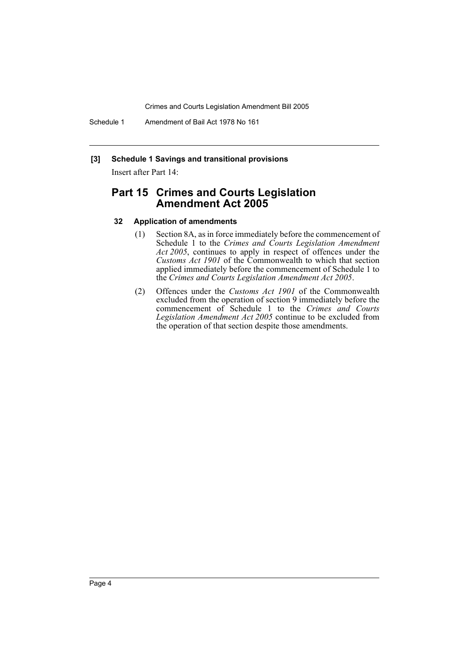Schedule 1 Amendment of Bail Act 1978 No 161

## **[3] Schedule 1 Savings and transitional provisions**

Insert after Part 14:

# **Part 15 Crimes and Courts Legislation Amendment Act 2005**

#### **32 Application of amendments**

- (1) Section 8A, as in force immediately before the commencement of Schedule 1 to the *Crimes and Courts Legislation Amendment Act 2005*, continues to apply in respect of offences under the *Customs Act 1901* of the Commonwealth to which that section applied immediately before the commencement of Schedule 1 to the *Crimes and Courts Legislation Amendment Act 2005*.
- (2) Offences under the *Customs Act 1901* of the Commonwealth excluded from the operation of section 9 immediately before the commencement of Schedule 1 to the *Crimes and Courts Legislation Amendment Act 2005* continue to be excluded from the operation of that section despite those amendments.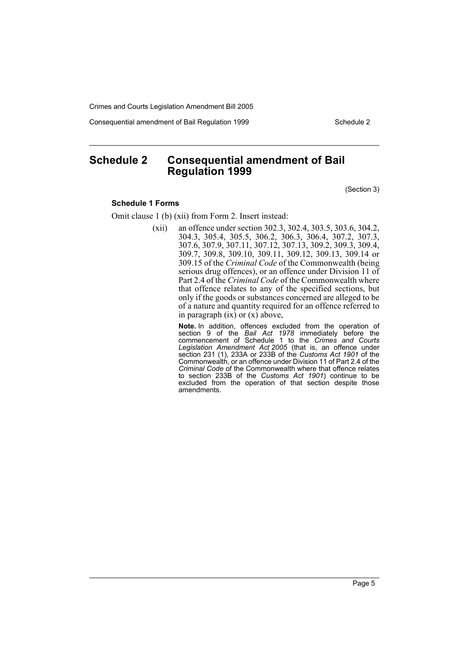Consequential amendment of Bail Regulation 1999 Schedule 2

# **Schedule 2 Consequential amendment of Bail Regulation 1999**

(Section 3)

#### **Schedule 1 Forms**

Omit clause 1 (b) (xii) from Form 2. Insert instead:

(xii) an offence under section 302.3, 302.4, 303.5, 303.6, 304.2, 304.3, 305.4, 305.5, 306.2, 306.3, 306.4, 307.2, 307.3, 307.6, 307.9, 307.11, 307.12, 307.13, 309.2, 309.3, 309.4, 309.7, 309.8, 309.10, 309.11, 309.12, 309.13, 309.14 or 309.15 of the *Criminal Code* of the Commonwealth (being serious drug offences), or an offence under Division 11 of Part 2.4 of the *Criminal Code* of the Commonwealth where that offence relates to any of the specified sections, but only if the goods or substances concerned are alleged to be of a nature and quantity required for an offence referred to in paragraph  $(ix)$  or  $(x)$  above,

> **Note.** In addition, offences excluded from the operation of section 9 of the *Bail Act 1978* immediately before the commencement of Schedule 1 to the *Crimes and Courts Legislation Amendment Act 2005* (that is, an offence under section 231 (1), 233A or 233B of the *Customs Act 1901* of the Commonwealth, or an offence under Division 11 of Part 2.4 of the *Criminal Code* of the Commonwealth where that offence relates to section 233B of the *Customs Act 1901*) continue to be excluded from the operation of that section despite those amendments.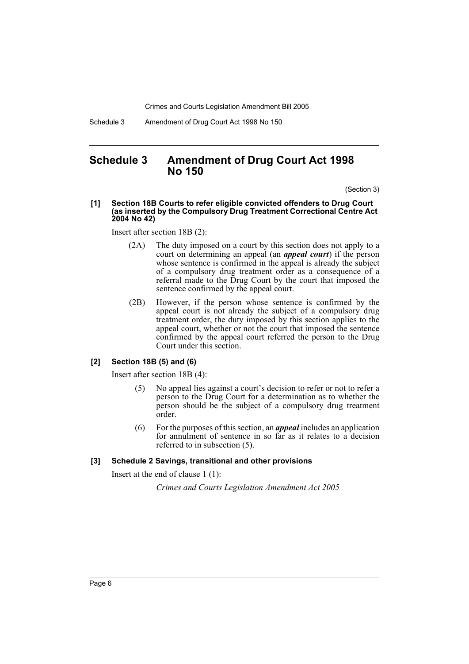Schedule 3 Amendment of Drug Court Act 1998 No 150

# **Schedule 3 Amendment of Drug Court Act 1998 No 150**

(Section 3)

#### **[1] Section 18B Courts to refer eligible convicted offenders to Drug Court (as inserted by the Compulsory Drug Treatment Correctional Centre Act 2004 No 42)**

Insert after section 18B (2):

- (2A) The duty imposed on a court by this section does not apply to a court on determining an appeal (an *appeal court*) if the person whose sentence is confirmed in the appeal is already the subject of a compulsory drug treatment order as a consequence of a referral made to the Drug Court by the court that imposed the sentence confirmed by the appeal court.
- (2B) However, if the person whose sentence is confirmed by the appeal court is not already the subject of a compulsory drug treatment order, the duty imposed by this section applies to the appeal court, whether or not the court that imposed the sentence confirmed by the appeal court referred the person to the Drug Court under this section.

#### **[2] Section 18B (5) and (6)**

Insert after section 18B (4):

- (5) No appeal lies against a court's decision to refer or not to refer a person to the Drug Court for a determination as to whether the person should be the subject of a compulsory drug treatment order.
- (6) For the purposes of this section, an *appeal* includes an application for annulment of sentence in so far as it relates to a decision referred to in subsection (5).

#### **[3] Schedule 2 Savings, transitional and other provisions**

Insert at the end of clause 1 (1):

*Crimes and Courts Legislation Amendment Act 2005*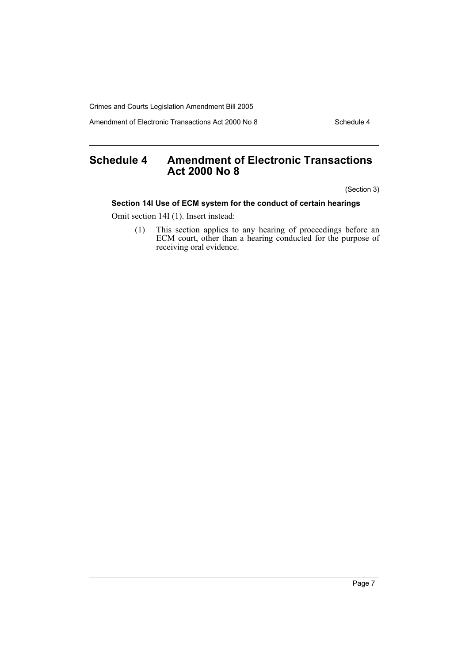Amendment of Electronic Transactions Act 2000 No 8 Schedule 4

# **Schedule 4 Amendment of Electronic Transactions Act 2000 No 8**

(Section 3)

# **Section 14I Use of ECM system for the conduct of certain hearings**

Omit section 14I (1). Insert instead:

(1) This section applies to any hearing of proceedings before an ECM court, other than a hearing conducted for the purpose of receiving oral evidence.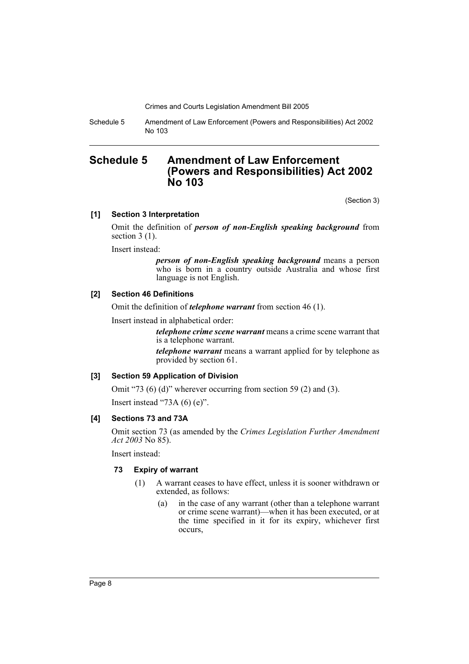Schedule 5 Amendment of Law Enforcement (Powers and Responsibilities) Act 2002 No 103

# **Schedule 5 Amendment of Law Enforcement (Powers and Responsibilities) Act 2002 No 103**

(Section 3)

#### **[1] Section 3 Interpretation**

Omit the definition of *person of non-English speaking background* from section 3 (1).

Insert instead:

*person of non-English speaking background* means a person who is born in a country outside Australia and whose first language is not English.

#### **[2] Section 46 Definitions**

Omit the definition of *telephone warrant* from section 46 (1).

Insert instead in alphabetical order:

*telephone crime scene warrant* means a crime scene warrant that is a telephone warrant.

*telephone warrant* means a warrant applied for by telephone as provided by section 61.

#### **[3] Section 59 Application of Division**

Omit "73 (6) (d)" wherever occurring from section 59 (2) and (3). Insert instead "73A (6) (e)".

## **[4] Sections 73 and 73A**

Omit section 73 (as amended by the *Crimes Legislation Further Amendment Act 2003* No 85).

Insert instead:

#### **73 Expiry of warrant**

- (1) A warrant ceases to have effect, unless it is sooner withdrawn or extended, as follows:
	- (a) in the case of any warrant (other than a telephone warrant or crime scene warrant)—when it has been executed, or at the time specified in it for its expiry, whichever first occurs,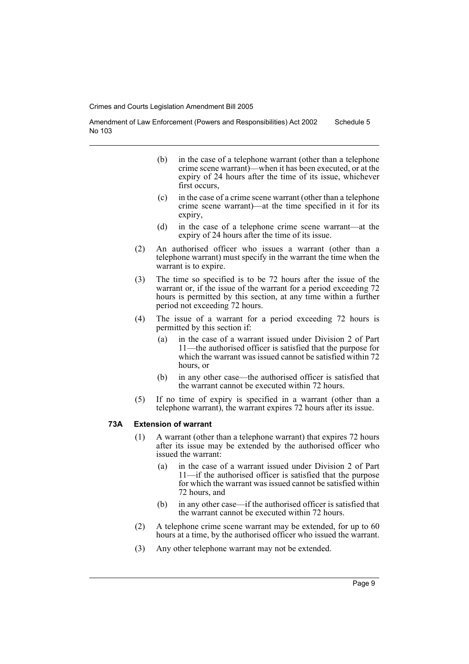Amendment of Law Enforcement (Powers and Responsibilities) Act 2002 No 103 Schedule 5

- (b) in the case of a telephone warrant (other than a telephone crime scene warrant)—when it has been executed, or at the expiry of 24 hours after the time of its issue, whichever first occurs.
- (c) in the case of a crime scene warrant (other than a telephone crime scene warrant)—at the time specified in it for its expiry,
- (d) in the case of a telephone crime scene warrant—at the expiry of 24 hours after the time of its issue.
- (2) An authorised officer who issues a warrant (other than a telephone warrant) must specify in the warrant the time when the warrant is to expire.
- (3) The time so specified is to be 72 hours after the issue of the warrant or, if the issue of the warrant for a period exceeding 72 hours is permitted by this section, at any time within a further period not exceeding 72 hours.
- (4) The issue of a warrant for a period exceeding 72 hours is permitted by this section if:
	- (a) in the case of a warrant issued under Division 2 of Part 11—the authorised officer is satisfied that the purpose for which the warrant was issued cannot be satisfied within 72 hours, or
	- (b) in any other case—the authorised officer is satisfied that the warrant cannot be executed within 72 hours.
- (5) If no time of expiry is specified in a warrant (other than a telephone warrant), the warrant expires 72 hours after its issue.

#### **73A Extension of warrant**

- (1) A warrant (other than a telephone warrant) that expires 72 hours after its issue may be extended by the authorised officer who issued the warrant:
	- (a) in the case of a warrant issued under Division 2 of Part 11—if the authorised officer is satisfied that the purpose for which the warrant was issued cannot be satisfied within 72 hours, and
	- (b) in any other case—if the authorised officer is satisfied that the warrant cannot be executed within 72 hours.
- (2) A telephone crime scene warrant may be extended, for up to 60 hours at a time, by the authorised officer who issued the warrant.
- (3) Any other telephone warrant may not be extended.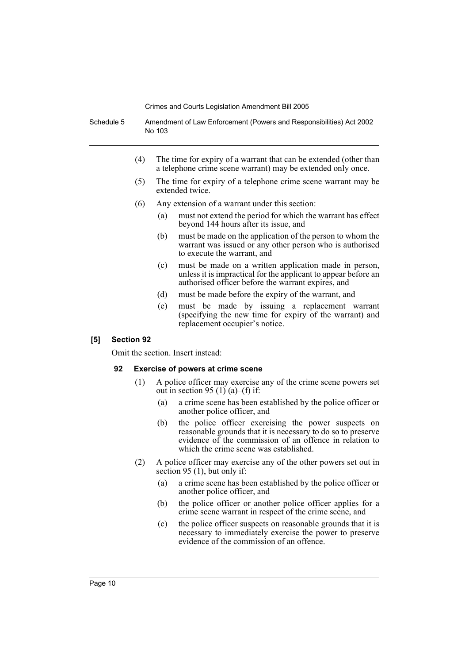Schedule 5 Amendment of Law Enforcement (Powers and Responsibilities) Act 2002 No 103

- (4) The time for expiry of a warrant that can be extended (other than a telephone crime scene warrant) may be extended only once.
- (5) The time for expiry of a telephone crime scene warrant may be extended twice.
- (6) Any extension of a warrant under this section:
	- (a) must not extend the period for which the warrant has effect beyond 144 hours after its issue, and
	- (b) must be made on the application of the person to whom the warrant was issued or any other person who is authorised to execute the warrant, and
	- (c) must be made on a written application made in person, unless it is impractical for the applicant to appear before an authorised officer before the warrant expires, and
	- (d) must be made before the expiry of the warrant, and
	- (e) must be made by issuing a replacement warrant (specifying the new time for expiry of the warrant) and replacement occupier's notice.

## **[5] Section 92**

Omit the section. Insert instead:

## **92 Exercise of powers at crime scene**

- (1) A police officer may exercise any of the crime scene powers set out in section 95 (1) (a)–(f) if:
	- (a) a crime scene has been established by the police officer or another police officer, and
	- (b) the police officer exercising the power suspects on reasonable grounds that it is necessary to do so to preserve evidence of the commission of an offence in relation to which the crime scene was established.
- (2) A police officer may exercise any of the other powers set out in section 95 (1), but only if:
	- (a) a crime scene has been established by the police officer or another police officer, and
	- (b) the police officer or another police officer applies for a crime scene warrant in respect of the crime scene, and
	- (c) the police officer suspects on reasonable grounds that it is necessary to immediately exercise the power to preserve evidence of the commission of an offence.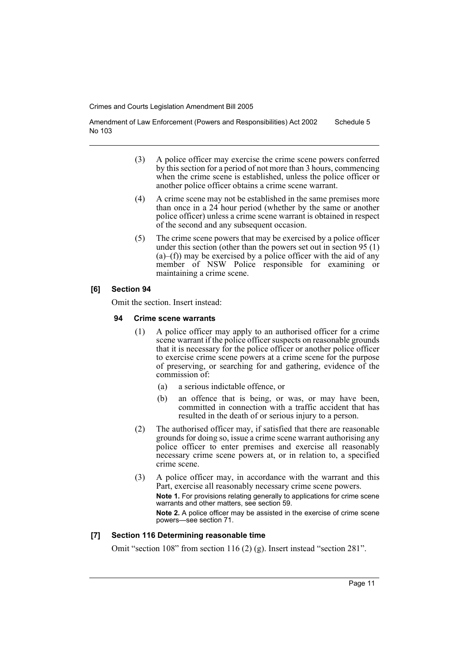Amendment of Law Enforcement (Powers and Responsibilities) Act 2002 No 103 Schedule 5

- (3) A police officer may exercise the crime scene powers conferred by this section for a period of not more than 3 hours, commencing when the crime scene is established, unless the police officer or another police officer obtains a crime scene warrant.
- (4) A crime scene may not be established in the same premises more than once in a 24 hour period (whether by the same or another police officer) unless a crime scene warrant is obtained in respect of the second and any subsequent occasion.
- (5) The crime scene powers that may be exercised by a police officer under this section (other than the powers set out in section 95 (1)  $(a)$ –(f)) may be exercised by a police officer with the aid of any member of NSW Police responsible for examining or maintaining a crime scene.

## **[6] Section 94**

Omit the section. Insert instead:

#### **94 Crime scene warrants**

- (1) A police officer may apply to an authorised officer for a crime scene warrant if the police officer suspects on reasonable grounds that it is necessary for the police officer or another police officer to exercise crime scene powers at a crime scene for the purpose of preserving, or searching for and gathering, evidence of the commission of:
	- (a) a serious indictable offence, or
	- (b) an offence that is being, or was, or may have been, committed in connection with a traffic accident that has resulted in the death of or serious injury to a person.
- (2) The authorised officer may, if satisfied that there are reasonable grounds for doing so, issue a crime scene warrant authorising any police officer to enter premises and exercise all reasonably necessary crime scene powers at, or in relation to, a specified crime scene.
- (3) A police officer may, in accordance with the warrant and this Part, exercise all reasonably necessary crime scene powers. **Note 1.** For provisions relating generally to applications for crime scene warrants and other matters, see section 59. **Note 2.** A police officer may be assisted in the exercise of crime scene powers—see section 71.

## **[7] Section 116 Determining reasonable time**

Omit "section 108" from section 116 (2) (g). Insert instead "section 281".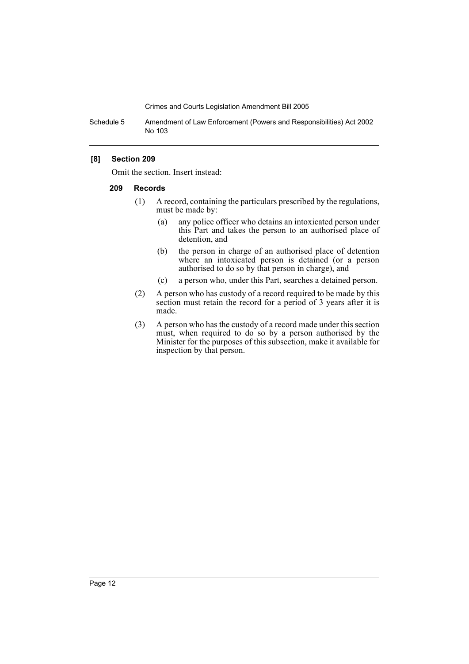Schedule 5 Amendment of Law Enforcement (Powers and Responsibilities) Act 2002 No 103

#### **[8] Section 209**

Omit the section. Insert instead:

#### **209 Records**

- (1) A record, containing the particulars prescribed by the regulations, must be made by:
	- (a) any police officer who detains an intoxicated person under this Part and takes the person to an authorised place of detention, and
	- (b) the person in charge of an authorised place of detention where an intoxicated person is detained (or a person authorised to do so by that person in charge), and
	- (c) a person who, under this Part, searches a detained person.
- (2) A person who has custody of a record required to be made by this section must retain the record for a period of 3 years after it is made.
- (3) A person who has the custody of a record made under this section must, when required to do so by a person authorised by the Minister for the purposes of this subsection, make it available for inspection by that person.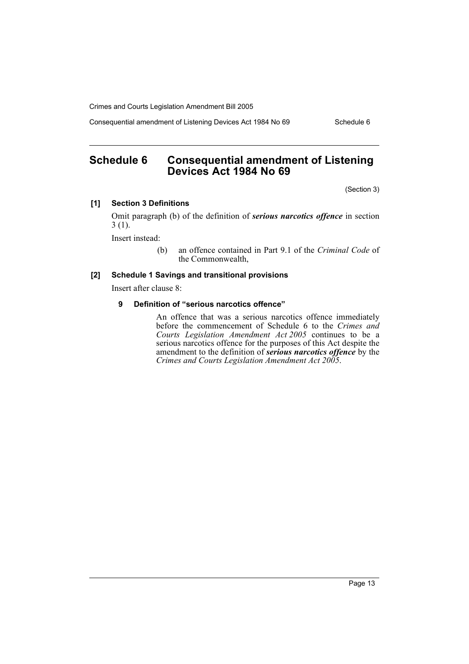Consequential amendment of Listening Devices Act 1984 No 69 Schedule 6

# **Schedule 6 Consequential amendment of Listening Devices Act 1984 No 69**

(Section 3)

# **[1] Section 3 Definitions**

Omit paragraph (b) of the definition of *serious narcotics offence* in section 3 (1).

Insert instead:

(b) an offence contained in Part 9.1 of the *Criminal Code* of the Commonwealth,

# **[2] Schedule 1 Savings and transitional provisions**

Insert after clause 8:

## **9 Definition of "serious narcotics offence"**

An offence that was a serious narcotics offence immediately before the commencement of Schedule 6 to the *Crimes and Courts Legislation Amendment Act 2005* continues to be a serious narcotics offence for the purposes of this Act despite the amendment to the definition of *serious narcotics offence* by the *Crimes and Courts Legislation Amendment Act 2005*.